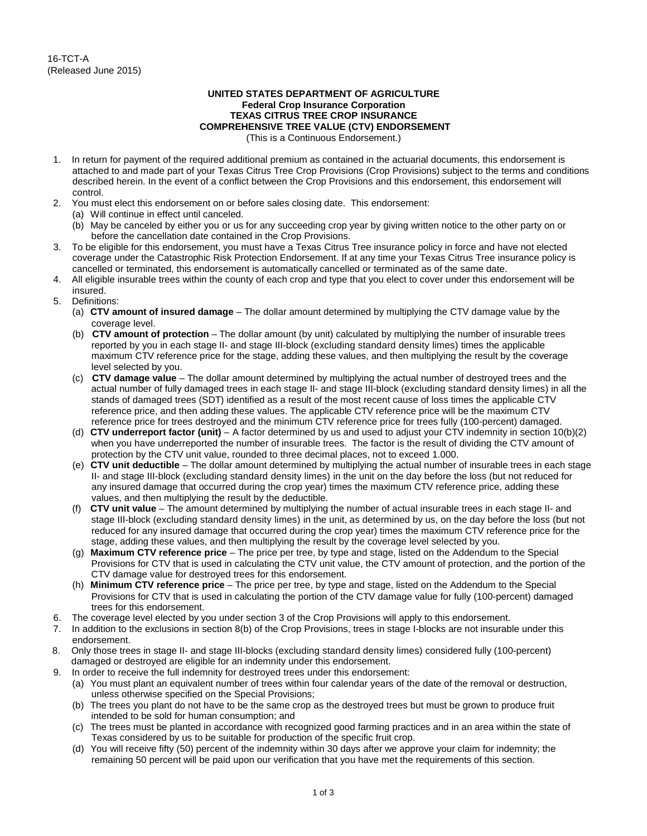## **UNITED STATES DEPARTMENT OF AGRICULTURE Federal Crop Insurance Corporation TEXAS CITRUS TREE CROP INSURANCE COMPREHENSIVE TREE VALUE (CTV) ENDORSEMENT**

(This is a Continuous Endorsement.)

- 1. In return for payment of the required additional premium as contained in the actuarial documents, this endorsement is attached to and made part of your Texas Citrus Tree Crop Provisions (Crop Provisions) subject to the terms and conditions described herein. In the event of a conflict between the Crop Provisions and this endorsement, this endorsement will control.
- 2. You must elect this endorsement on or before sales closing date. This endorsement:
	- (a) Will continue in effect until canceled.
	- (b) May be canceled by either you or us for any succeeding crop year by giving written notice to the other party on or before the cancellation date contained in the Crop Provisions.
- 3. To be eligible for this endorsement, you must have a Texas Citrus Tree insurance policy in force and have not elected coverage under the Catastrophic Risk Protection Endorsement. If at any time your Texas Citrus Tree insurance policy is cancelled or terminated, this endorsement is automatically cancelled or terminated as of the same date.
- 4. All eligible insurable trees within the county of each crop and type that you elect to cover under this endorsement will be insured.
- 5. Definitions:
	- (a) **CTV amount of insured damage** The dollar amount determined by multiplying the CTV damage value by the coverage level.
	- (b) **CTV amount of protection** The dollar amount (by unit) calculated by multiplying the number of insurable trees reported by you in each stage II- and stage III-block (excluding standard density limes) times the applicable maximum CTV reference price for the stage, adding these values, and then multiplying the result by the coverage level selected by you.
	- (c) **CTV damage value** The dollar amount determined by multiplying the actual number of destroyed trees and the actual number of fully damaged trees in each stage II- and stage III-block (excluding standard density limes) in all the stands of damaged trees (SDT) identified as a result of the most recent cause of loss times the applicable CTV reference price, and then adding these values. The applicable CTV reference price will be the maximum CTV reference price for trees destroyed and the minimum CTV reference price for trees fully (100-percent) damaged.
	- (d) **CTV underreport factor (unit)** A factor determined by us and used to adjust your CTV indemnity in section 10(b)(2) when you have underreported the number of insurable trees. The factor is the result of dividing the CTV amount of protection by the CTV unit value, rounded to three decimal places, not to exceed 1.000.
	- (e) **CTV unit deductible** The dollar amount determined by multiplying the actual number of insurable trees in each stage II- and stage III-block (excluding standard density limes) in the unit on the day before the loss (but not reduced for any insured damage that occurred during the crop year) times the maximum CTV reference price, adding these values, and then multiplying the result by the deductible.
	- (f) **CTV unit value** The amount determined by multiplying the number of actual insurable trees in each stage II- and stage III-block (excluding standard density limes) in the unit, as determined by us, on the day before the loss (but not reduced for any insured damage that occurred during the crop year) times the maximum CTV reference price for the stage, adding these values, and then multiplying the result by the coverage level selected by you.
	- (g) **Maximum CTV reference price** The price per tree, by type and stage, listed on the Addendum to the Special Provisions for CTV that is used in calculating the CTV unit value, the CTV amount of protection, and the portion of the CTV damage value for destroyed trees for this endorsement.
	- (h) **Minimum CTV reference price** The price per tree, by type and stage, listed on the Addendum to the Special Provisions for CTV that is used in calculating the portion of the CTV damage value for fully (100-percent) damaged trees for this endorsement.
- 6. The coverage level elected by you under section 3 of the Crop Provisions will apply to this endorsement.
- 7. In addition to the exclusions in section 8(b) of the Crop Provisions, trees in stage I-blocks are not insurable under this endorsement.
- 8. Only those trees in stage II- and stage III-blocks (excluding standard density limes) considered fully (100-percent) damaged or destroyed are eligible for an indemnity under this endorsement.
- 9. In order to receive the full indemnity for destroyed trees under this endorsement:
	- (a) You must plant an equivalent number of trees within four calendar years of the date of the removal or destruction, unless otherwise specified on the Special Provisions;
	- (b) The trees you plant do not have to be the same crop as the destroyed trees but must be grown to produce fruit intended to be sold for human consumption; and
	- (c) The trees must be planted in accordance with recognized good farming practices and in an area within the state of Texas considered by us to be suitable for production of the specific fruit crop.
	- (d) You will receive fifty (50) percent of the indemnity within 30 days after we approve your claim for indemnity; the remaining 50 percent will be paid upon our verification that you have met the requirements of this section.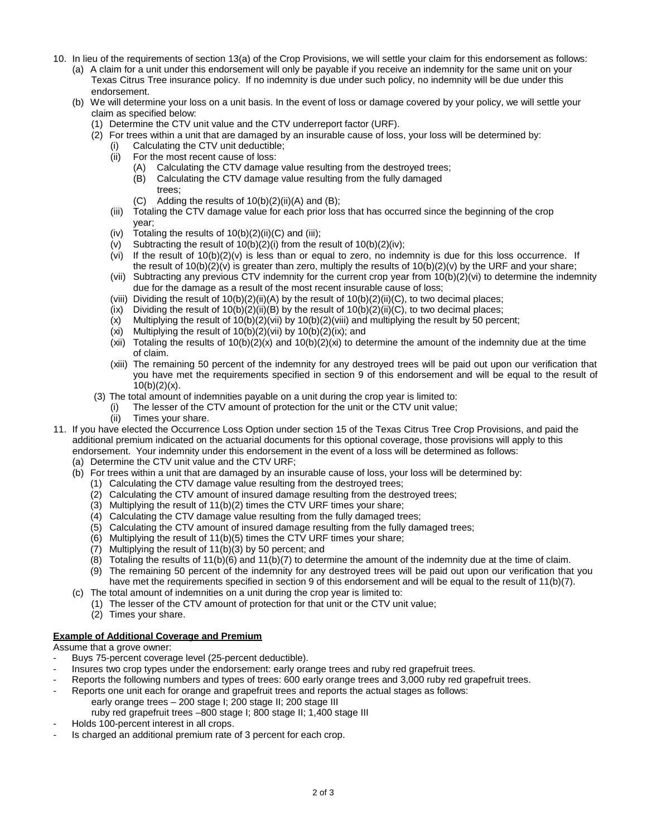- 10. In lieu of the requirements of section 13(a) of the Crop Provisions, we will settle your claim for this endorsement as follows:
	- (a) A claim for a unit under this endorsement will only be payable if you receive an indemnity for the same unit on your Texas Citrus Tree insurance policy. If no indemnity is due under such policy, no indemnity will be due under this endorsement.
	- (b) We will determine your loss on a unit basis. In the event of loss or damage covered by your policy, we will settle your claim as specified below:
		- (1) Determine the CTV unit value and the CTV underreport factor (URF).
		- (2) For trees within a unit that are damaged by an insurable cause of loss, your loss will be determined by:
			- (i) Calculating the CTV unit deductible;<br>(ii) For the most recent cause of loss:
			- For the most recent cause of loss:
				- (A) Calculating the CTV damage value resulting from the destroyed trees;
				- (B) Calculating the CTV damage value resulting from the fully damaged trees;
				- $(C)$  Adding the results of  $10(b)(2)(ii)(A)$  and  $(B)$ :
			- (iii) Totaling the CTV damage value for each prior loss that has occurred since the beginning of the crop year;
			- (iv) Totaling the results of  $10(b)(2)(ii)(C)$  and (iii);<br>(v) Subtracting the result of  $10(b)(2)(i)$  from the r
			- Subtracting the result of  $10(b)(2)(i)$  from the result of  $10(b)(2)(iv)$ ;
			- $(vi)$  If the result of 10(b)(2)(v) is less than or equal to zero, no indemnity is due for this loss occurrence. If the result of  $10(b)(2)(v)$  is greater than zero, multiply the results of  $10(b)(2)(v)$  by the URF and your share;
			- (vii) Subtracting any previous CTV indemnity for the current crop year from 10(b)(2)(vi) to determine the indemnity due for the damage as a result of the most recent insurable cause of loss;
			- (viii) Dividing the result of  $10(b)(2)(ii)(A)$  by the result of  $10(b)(2)(ii)(C)$ , to two decimal places;
			- (ix) Dividing the result of  $10(b)(2)(ii)(B)$  by the result of  $10(b)(2)(ii)(C)$ , to two decimal places;
			- $(x)$  Multiplying the result of  $10(b)(2)(vi)$  by  $10(b)(2)(viii)$  and multiplying the result by 50 percent;
			- (xi) Multiplying the result of  $10(b)(2)(vii)$  by  $10(b)(2)(ix)$ ; and
			- (xii) Totaling the results of  $10(b)(2)(x)$  and  $10(b)(2)(x)$  to determine the amount of the indemnity due at the time of claim.
			- (xiii) The remaining 50 percent of the indemnity for any destroyed trees will be paid out upon our verification that you have met the requirements specified in section 9 of this endorsement and will be equal to the result of  $10(b)(2)(x)$ .
		- (3) The total amount of indemnities payable on a unit during the crop year is limited to:
			- (i) The lesser of the CTV amount of protection for the unit or the CTV unit value;<br>(ii) Times vour share.
				- Times your share.
- 11. If you have elected the Occurrence Loss Option under section 15 of the Texas Citrus Tree Crop Provisions, and paid the additional premium indicated on the actuarial documents for this optional coverage, those provisions will apply to this endorsement. Your indemnity under this endorsement in the event of a loss will be determined as follows:
	- (a) Determine the CTV unit value and the CTV URF;
	- (b) For trees within a unit that are damaged by an insurable cause of loss, your loss will be determined by:
		- (1) Calculating the CTV damage value resulting from the destroyed trees;
		- (2) Calculating the CTV amount of insured damage resulting from the destroyed trees;
		- (3) Multiplying the result of 11(b)(2) times the CTV URF times your share;
		- (4) Calculating the CTV damage value resulting from the fully damaged trees;
		- (5) Calculating the CTV amount of insured damage resulting from the fully damaged trees;
		- (6) Multiplying the result of 11(b)(5) times the CTV URF times your share;
		- (7) Multiplying the result of 11(b)(3) by 50 percent; and
		- (8) Totaling the results of 11(b)(6) and 11(b)(7) to determine the amount of the indemnity due at the time of claim.
		- (9) The remaining 50 percent of the indemnity for any destroyed trees will be paid out upon our verification that you have met the requirements specified in section 9 of this endorsement and will be equal to the result of 11(b)(7).
	- (c) The total amount of indemnities on a unit during the crop year is limited to:
		- (1) The lesser of the CTV amount of protection for that unit or the CTV unit value;
			- (2) Times your share.

## **Example of Additional Coverage and Premium**

Assume that a grove owner:

- Buys 75-percent coverage level (25-percent deductible).
- Insures two crop types under the endorsement: early orange trees and ruby red grapefruit trees.
- Reports the following numbers and types of trees: 600 early orange trees and 3,000 ruby red grapefruit trees.
- Reports one unit each for orange and grapefruit trees and reports the actual stages as follows: early orange trees – 200 stage I; 200 stage II; 200 stage III
	- ruby red grapefruit trees –800 stage I; 800 stage II; 1,400 stage III
- Holds 100-percent interest in all crops.
- Is charged an additional premium rate of 3 percent for each crop.